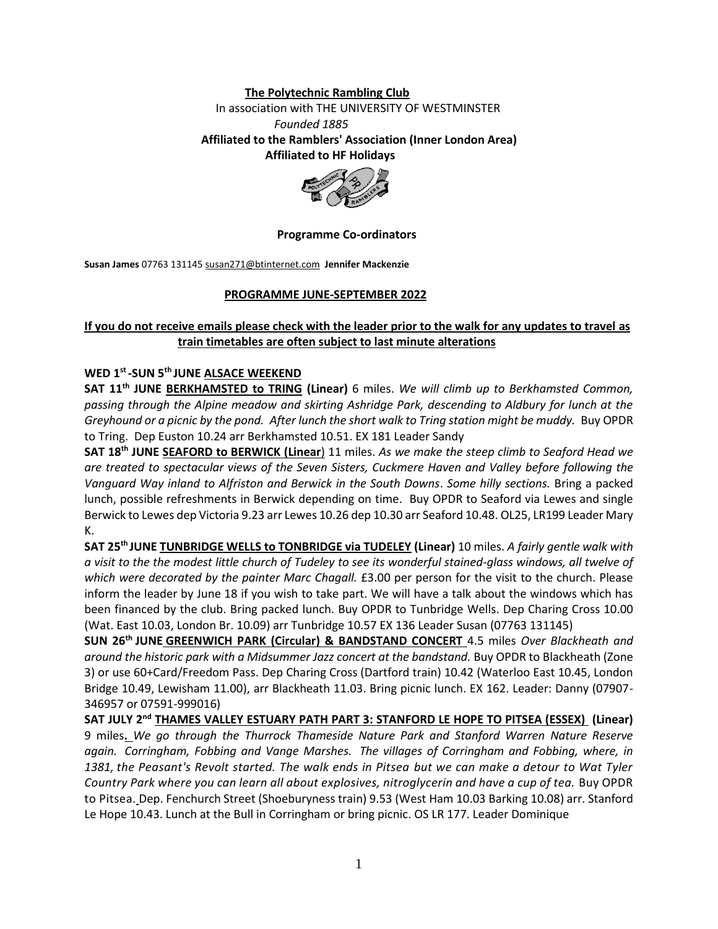### **The Polytechnic Rambling Club**

In association with THE UNIVERSITY OF WESTMINSTER

#### *Founded 1885*

 **Affiliated to the Ramblers' Association (Inner London Area) Affiliated to HF Holidays**



#### **Programme Co-ordinators**

**Susan James** 07763 131145 susan271@btinternet.com **Jennifer Mackenzie**

#### **PROGRAMME JUNE-SEPTEMBER 2022**

## **If you do not receive emails please check with the leader prior to the walk for any updates to travel as train timetables are often subject to last minute alterations**

## **WED 1st -SUN 5th JUNE ALSACE WEEKEND**

**SAT 11th JUNE BERKHAMSTED to TRING (Linear)** 6 miles. *We will climb up to Berkhamsted Common, passing through the Alpine meadow and skirting Ashridge Park, descending to Aldbury for lunch at the Greyhound or a picnic by the pond. After lunch the short walk to Tring station might be muddy.* Buy OPDR to Tring. Dep Euston 10.24 arr Berkhamsted 10.51. EX 181 Leader Sandy

**SAT 18th JUNE SEAFORD to BERWICK (Linear**) 11 miles. *As we make the steep climb to Seaford Head we are treated to spectacular views of the Seven Sisters, Cuckmere Haven and Valley before following the Vanguard Way inland to Alfriston and Berwick in the South Downs*. *Some hilly sections.* Bring a packed lunch, possible refreshments in Berwick depending on time. Buy OPDR to Seaford via Lewes and single Berwick to Lewes dep Victoria 9.23 arr Lewes 10.26 dep 10.30 arr Seaford 10.48. OL25, LR199 Leader Mary K.

**SAT 25th JUNE TUNBRIDGE WELLS to TONBRIDGE via TUDELEY (Linear)** 10 miles. *A fairly gentle walk with a visit to the the modest little church of Tudeley to see its wonderful stained-glass windows, all twelve of which were decorated by the painter Marc Chagall.* £3.00 per person for the visit to the church. Please inform the leader by June 18 if you wish to take part. We will have a talk about the windows which has been financed by the club. Bring packed lunch. Buy OPDR to Tunbridge Wells. Dep Charing Cross 10.00 (Wat. East 10.03, London Br. 10.09) arr Tunbridge 10.57 EX 136 Leader Susan (07763 131145)

**SUN 26th JUNE GREENWICH PARK (Circular) & BANDSTAND CONCERT** 4.5 miles *Over Blackheath and around the historic park with a Midsummer Jazz concert at the bandstand.* Buy OPDR to Blackheath (Zone 3) or use 60+Card/Freedom Pass. Dep Charing Cross (Dartford train) 10.42 (Waterloo East 10.45, London Bridge 10.49, Lewisham 11.00), arr Blackheath 11.03. Bring picnic lunch. EX 162. Leader: Danny (07907- 346957 or 07591-999016)

**SAT JULY 2nd THAMES VALLEY ESTUARY PATH PART 3: STANFORD LE HOPE TO PITSEA (ESSEX) (Linear)**  9 miles**.** *We go through the Thurrock Thameside Nature Park and Stanford Warren Nature Reserve again. Corringham, Fobbing and Vange Marshes. The villages of Corringham and Fobbing, where, in 1381, the Peasant's Revolt started. The walk ends in Pitsea but we can make a detour to Wat Tyler Country Park where you can learn all about explosives, nitroglycerin and have a cup of tea.* Buy OPDR to Pitsea. Dep. Fenchurch Street (Shoeburyness train) 9.53 (West Ham 10.03 Barking 10.08) arr. Stanford Le Hope 10.43. Lunch at the Bull in Corringham or bring picnic. OS LR 177. Leader Dominique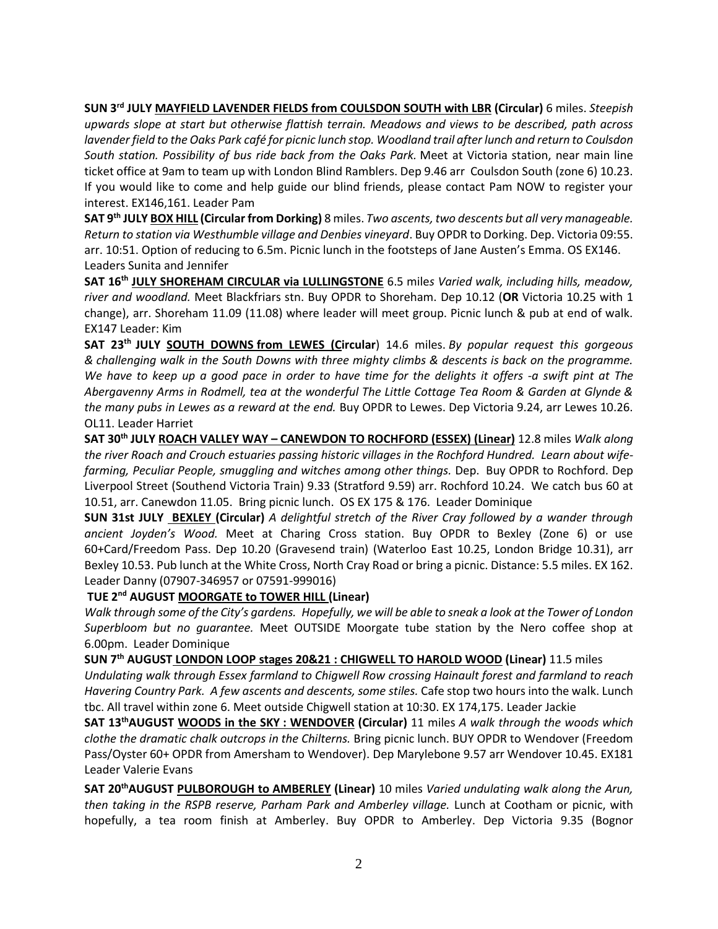**SUN 3rd JULY MAYFIELD LAVENDER FIELDS from COULSDON SOUTH with LBR (Circular)** 6 miles. *Steepish upwards slope at start but otherwise flattish terrain. Meadows and views to be described, path across lavender field to the Oaks Park café for picnic lunch stop. Woodland trail after lunch and return to Coulsdon South station. Possibility of bus ride back from the Oaks Park.* Meet at Victoria station, near main line ticket office at 9am to team up with London Blind Ramblers. Dep 9.46 arr Coulsdon South (zone 6) 10.23. If you would like to come and help guide our blind friends, please contact Pam NOW to register your interest. EX146,161. Leader Pam

**SAT 9th JULY BOX HILL (Circular from Dorking)** 8 miles. *Two ascents, two descents but all very manageable. Return to station via Westhumble village and Denbies vineyard*. Buy OPDR to Dorking. Dep. Victoria 09:55. arr. 10:51. Option of reducing to 6.5m. Picnic lunch in the footsteps of Jane Austen's Emma. OS EX146. Leaders Sunita and Jennifer

**SAT 16th JULY SHOREHAM CIRCULAR via LULLINGSTONE** 6.5 mile*s Varied walk, including hills, meadow, river and woodland.* Meet Blackfriars stn. Buy OPDR to Shoreham. Dep 10.12 (**OR** Victoria 10.25 with 1 change), arr. Shoreham 11.09 (11.08) where leader will meet group. Picnic lunch & pub at end of walk. EX147 Leader: Kim

**SAT 23 th JULY SOUTH DOWNS from LEWES (Circular**) 14.6 miles. *By popular request this gorgeous & challenging walk in the South Downs with three mighty climbs & descents is back on the programme. We have to keep up a good pace in order to have time for the delights it offers -a swift pint at The Abergavenny Arms in Rodmell, tea at the wonderful The Little Cottage Tea Room & Garden at Glynde & the many pubs in Lewes as a reward at the end.* Buy OPDR to Lewes. Dep Victoria 9.24, arr Lewes 10.26. OL11. Leader Harriet

**SAT 30th JULY ROACH VALLEY WAY – CANEWDON TO ROCHFORD (ESSEX) (Linear)** 12.8 miles *Walk along the river Roach and Crouch estuaries passing historic villages in the Rochford Hundred. Learn about wifefarming, Peculiar People, smuggling and witches among other things.* Dep. Buy OPDR to Rochford. Dep Liverpool Street (Southend Victoria Train) 9.33 (Stratford 9.59) arr. Rochford 10.24. We catch bus 60 at 10.51, arr. Canewdon 11.05. Bring picnic lunch. OS EX 175 & 176. Leader Dominique

**SUN 31st JULY BEXLEY (Circular)** *A delightful stretch of the River Cray followed by a wander through ancient Joyden's Wood.* Meet at Charing Cross station. Buy OPDR to Bexley (Zone 6) or use 60+Card/Freedom Pass. Dep 10.20 (Gravesend train) (Waterloo East 10.25, London Bridge 10.31), arr Bexley 10.53. Pub lunch at the White Cross, North Cray Road or bring a picnic. Distance: 5.5 miles. EX 162. Leader Danny (07907-346957 or 07591-999016)

# **TUE 2nd AUGUST MOORGATE to TOWER HILL (Linear)**

*Walk through some of the City's gardens. Hopefully, we will be able to sneak a look at the Tower of London Superbloom but no guarantee.* Meet OUTSIDE Moorgate tube station by the Nero coffee shop at 6.00pm. Leader Dominique

**SUN 7th AUGUST LONDON LOOP stages 20&21 : CHIGWELL TO HAROLD WOOD (Linear)** 11.5 miles *Undulating walk through Essex farmland to Chigwell Row crossing Hainault forest and farmland to reach Havering Country Park. A few ascents and descents, some stiles.* Cafe stop two hours into the walk. Lunch tbc. All travel within zone 6. Meet outside Chigwell station at 10:30. EX 174,175. Leader Jackie

**SAT 13thAUGUST WOODS in the SKY : WENDOVER (Circular)** 11 miles *A walk through the woods which clothe the dramatic chalk outcrops in the Chilterns.* Bring picnic lunch. BUY OPDR to Wendover (Freedom Pass/Oyster 60+ OPDR from Amersham to Wendover). Dep Marylebone 9.57 arr Wendover 10.45. EX181 Leader Valerie Evans

**SAT 20thAUGUST PULBOROUGH to AMBERLEY (Linear)** 10 miles *Varied undulating walk along the Arun, then taking in the RSPB reserve, Parham Park and Amberley village.* Lunch at Cootham or picnic, with hopefully, a tea room finish at Amberley. Buy OPDR to Amberley. Dep Victoria 9.35 (Bognor